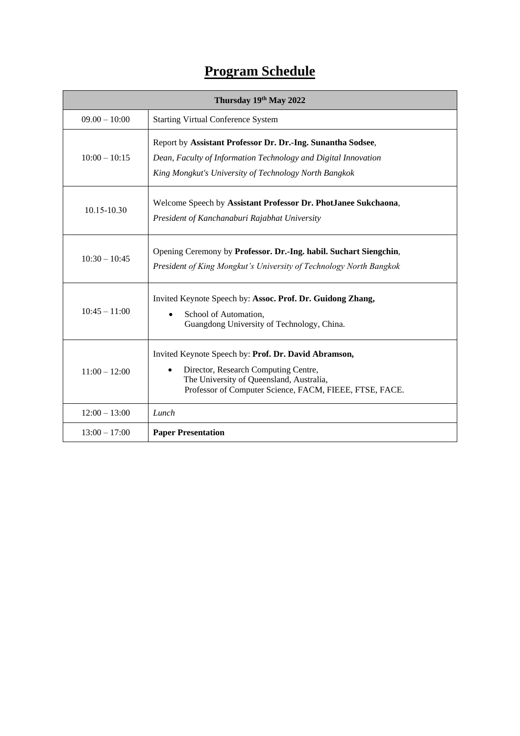## **Program Schedule**

| Thursday 19th May 2022 |                                                                                                                                                                                                                  |  |
|------------------------|------------------------------------------------------------------------------------------------------------------------------------------------------------------------------------------------------------------|--|
| $09.00 - 10:00$        | <b>Starting Virtual Conference System</b>                                                                                                                                                                        |  |
| $10:00 - 10:15$        | Report by Assistant Professor Dr. Dr.-Ing. Sunantha Sodsee,<br>Dean, Faculty of Information Technology and Digital Innovation<br>King Mongkut's University of Technology North Bangkok                           |  |
| 10.15-10.30            | Welcome Speech by Assistant Professor Dr. PhotJanee Sukchaona,<br>President of Kanchanaburi Rajabhat University                                                                                                  |  |
| $10:30 - 10:45$        | Opening Ceremony by Professor. Dr.-Ing. habil. Suchart Siengchin,<br>President of King Mongkut's University of Technology North Bangkok                                                                          |  |
| $10:45 - 11:00$        | Invited Keynote Speech by: Assoc. Prof. Dr. Guidong Zhang,<br>School of Automation,<br>$\bullet$<br>Guangdong University of Technology, China.                                                                   |  |
| $11:00 - 12:00$        | Invited Keynote Speech by: Prof. Dr. David Abramson,<br>Director, Research Computing Centre,<br>$\bullet$<br>The University of Queensland, Australia,<br>Professor of Computer Science, FACM, FIEEE, FTSE, FACE. |  |
| $12:00 - 13:00$        | Lunch                                                                                                                                                                                                            |  |
| $13:00 - 17:00$        | <b>Paper Presentation</b>                                                                                                                                                                                        |  |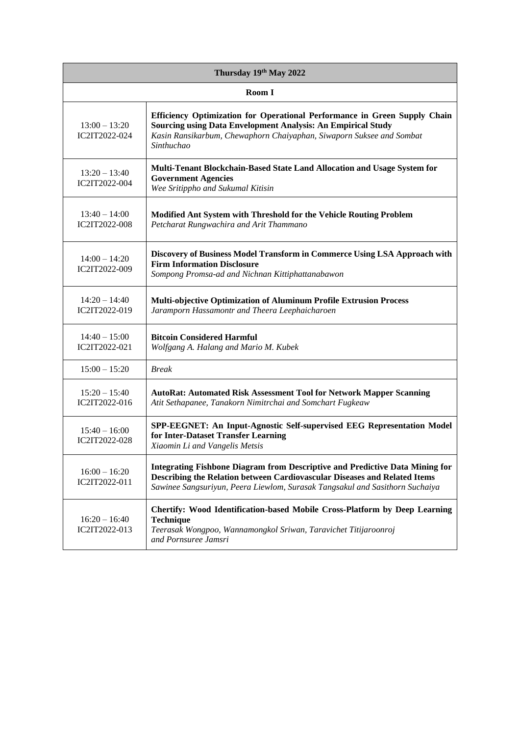| Thursday 19th May 2022           |                                                                                                                                                                                                                                                  |  |
|----------------------------------|--------------------------------------------------------------------------------------------------------------------------------------------------------------------------------------------------------------------------------------------------|--|
| Room I                           |                                                                                                                                                                                                                                                  |  |
| $13:00 - 13:20$<br>IC2IT2022-024 | Efficiency Optimization for Operational Performance in Green Supply Chain<br>Sourcing using Data Envelopment Analysis: An Empirical Study<br>Kasin Ransikarbum, Chewaphorn Chaiyaphan, Siwaporn Suksee and Sombat<br>Sinthuchao                  |  |
| $13:20 - 13:40$<br>IC2IT2022-004 | Multi-Tenant Blockchain-Based State Land Allocation and Usage System for<br><b>Government Agencies</b><br>Wee Sritippho and Sukumal Kitisin                                                                                                      |  |
| $13:40 - 14:00$<br>IC2IT2022-008 | Modified Ant System with Threshold for the Vehicle Routing Problem<br>Petcharat Rungwachira and Arit Thammano                                                                                                                                    |  |
| $14:00 - 14:20$<br>IC2IT2022-009 | Discovery of Business Model Transform in Commerce Using LSA Approach with<br><b>Firm Information Disclosure</b><br>Sompong Promsa-ad and Nichnan Kittiphattanabawon                                                                              |  |
| $14:20 - 14:40$<br>IC2IT2022-019 | Multi-objective Optimization of Aluminum Profile Extrusion Process<br>Jaramporn Hassamontr and Theera Leephaicharoen                                                                                                                             |  |
| $14:40 - 15:00$<br>IC2IT2022-021 | <b>Bitcoin Considered Harmful</b><br>Wolfgang A. Halang and Mario M. Kubek                                                                                                                                                                       |  |
| $15:00 - 15:20$                  | <b>Break</b>                                                                                                                                                                                                                                     |  |
| $15:20 - 15:40$<br>IC2IT2022-016 | <b>AutoRat: Automated Risk Assessment Tool for Network Mapper Scanning</b><br>Atit Sethapanee, Tanakorn Nimitrchai and Somchart Fugkeaw                                                                                                          |  |
| $15:40 - 16:00$<br>IC2IT2022-028 | SPP-EEGNET: An Input-Agnostic Self-supervised EEG Representation Model<br>for Inter-Dataset Transfer Learning<br>Xiaomin Li and Vangelis Metsis                                                                                                  |  |
| $16:00 - 16:20$<br>IC2IT2022-011 | <b>Integrating Fishbone Diagram from Descriptive and Predictive Data Mining for</b><br>Describing the Relation between Cardiovascular Diseases and Related Items<br>Sawinee Sangsuriyun, Peera Liewlom, Surasak Tangsakul and Sasithorn Suchaiya |  |
| $16:20 - 16:40$<br>IC2IT2022-013 | Chertify: Wood Identification-based Mobile Cross-Platform by Deep Learning<br><b>Technique</b><br>Teerasak Wongpoo, Wannamongkol Sriwan, Taravichet Titijaroonroj<br>and Pornsuree Jamsri                                                        |  |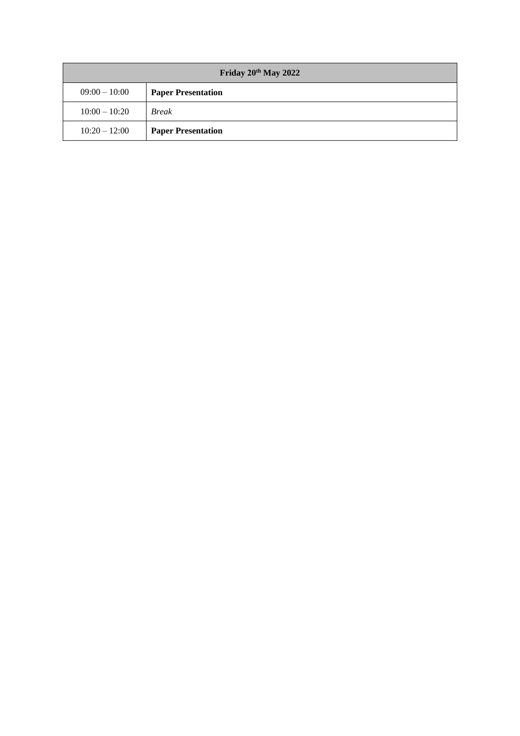| Friday 20 <sup>th</sup> May 2022 |                           |  |
|----------------------------------|---------------------------|--|
| $09:00 - 10:00$                  | <b>Paper Presentation</b> |  |
| $10:00 - 10:20$                  | <b>Break</b>              |  |
| $10:20 - 12:00$                  | <b>Paper Presentation</b> |  |